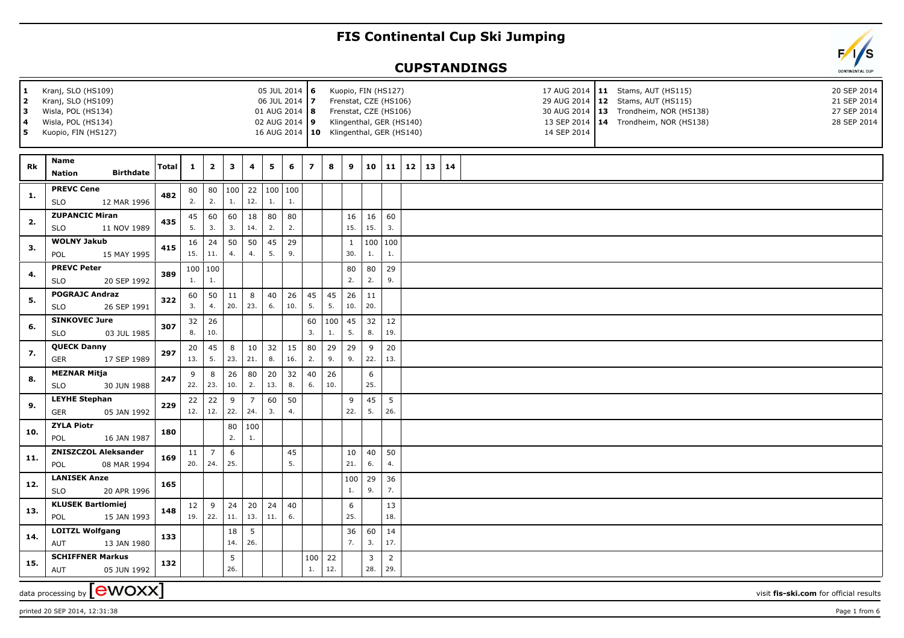## **FIS Continental Cup Ski Jumping**

## **CUPSTANDINGS**

| 1<br>2<br>3<br><b>4</b><br>5 | Kranj, SLO (HS109)<br>Kranj, SLO (HS109)<br>Wisla, POL (HS134)<br>Wisla, POL (HS134)<br>Kuopio, FIN (HS127) | 05 JUL 2014 6<br>06 JUL 2014 7<br>01 AUG 2014   8<br>02 AUG 2014 9 |              | 16 AUG 2014   10 Klingenthal, GER (HS140) |                   | Kuopio, FIN (HS127)<br>Frenstat, CZE (HS106)<br>Frenstat, CZE (HS106)<br>Klingenthal, GER (HS140) |               |               |                |                 | 14 SEP 2014         | 20 SEP 2014<br>17 AUG 2014   11 Stams, AUT (HS115)<br>29 AUG 2014   12 Stams, AUT (HS115)<br>21 SEP 2014<br>30 AUG 2014   13 Trondheim, NOR (HS138)<br>27 SEP 2014<br>28 SEP 2014<br>13 SEP 2014   14 Trondheim, NOR (HS138) |                       |          |    |  |  |                                        |  |
|------------------------------|-------------------------------------------------------------------------------------------------------------|--------------------------------------------------------------------|--------------|-------------------------------------------|-------------------|---------------------------------------------------------------------------------------------------|---------------|---------------|----------------|-----------------|---------------------|------------------------------------------------------------------------------------------------------------------------------------------------------------------------------------------------------------------------------|-----------------------|----------|----|--|--|----------------------------------------|--|
| Rk                           | <b>Name</b><br><b>Birthdate</b><br><b>Nation</b>                                                            | <b>Total</b>                                                       | $\mathbf{1}$ | $\mathbf{2}$                              | 3                 | 4                                                                                                 | 5             | 6             | $\overline{z}$ | 8               | 9                   | 10                                                                                                                                                                                                                           | 11                    | 12<br>13 | 14 |  |  |                                        |  |
| 1.                           | <b>PREVC Cene</b><br><b>SLO</b><br>12 MAR 1996                                                              | 482                                                                | 80<br>2.     | 80<br>2.                                  | $\vert$ 100<br>1. | 22<br>12.                                                                                         | 1.            | 100 100<br>1. |                |                 |                     |                                                                                                                                                                                                                              |                       |          |    |  |  |                                        |  |
| 2.                           | <b>ZUPANCIC Miran</b><br><b>SLO</b><br>11 NOV 1989                                                          | 435                                                                | 45<br>5.     | 60<br>3.                                  | 60<br>3.          | 18<br>14.                                                                                         | 80<br>2.      | 80<br>2.      |                |                 | 16<br>15.           | 16<br>15.                                                                                                                                                                                                                    | 60<br>3.              |          |    |  |  |                                        |  |
| 3.                           | <b>WOLNY Jakub</b><br>POL<br>15 MAY 1995                                                                    | 415                                                                | 16<br>15.    | 24<br>11.                                 | 50<br>4.          | 50<br>$\overline{4}$ .                                                                            | 45<br>5.      | 29<br>9.      |                |                 | $\mathbf{1}$<br>30. | 100<br>1.                                                                                                                                                                                                                    | 100<br>1.             |          |    |  |  |                                        |  |
| 4.                           | <b>PREVC Peter</b><br><b>SLO</b><br>20 SEP 1992                                                             | 389                                                                | 1.           | 100   100<br>1.                           |                   |                                                                                                   |               |               |                |                 | 80<br>2.            | 80<br>2.                                                                                                                                                                                                                     | 29<br>9.              |          |    |  |  |                                        |  |
| 5.                           | <b>POGRAJC Andraz</b><br><b>SLO</b><br>26 SEP 1991                                                          | 322                                                                | 60<br>3.     | 50<br>4.                                  | 11<br>20.         | 8<br>23.                                                                                          | 40<br>6.      | 26<br>10.     | 45<br>5.       | 45<br>5.        | 26<br>10.           | 11<br>20.                                                                                                                                                                                                                    |                       |          |    |  |  |                                        |  |
| 6.                           | <b>SINKOVEC Jure</b><br><b>SLO</b><br>03 JUL 1985                                                           | 307                                                                | 32<br>8.     | 26<br>10.                                 |                   |                                                                                                   |               |               | 60<br>3.       | 100<br>1.       | 45<br>5.            | 32<br>8.                                                                                                                                                                                                                     | 12<br>19.             |          |    |  |  |                                        |  |
| 7.                           | <b>QUECK Danny</b><br>17 SEP 1989<br><b>GER</b>                                                             | 297                                                                | 20<br>13.    | 45<br>5.                                  | 8<br>23.          | 10<br>21.                                                                                         | 32<br>8.      | 15<br>16.     | 80<br>2.       | 29<br>9.        | 29<br>9.            | 9<br>22.                                                                                                                                                                                                                     | 20<br>13.             |          |    |  |  |                                        |  |
| 8.                           | <b>MEZNAR Mitja</b><br><b>SLO</b><br>30 JUN 1988                                                            | 247                                                                | 9<br>22.     | 8<br>23.                                  | 26<br>10.         | 80<br>2.                                                                                          | $20\,$<br>13. | 32<br>8.      | 40<br>6.       | 26<br>10.       |                     | 6<br>25.                                                                                                                                                                                                                     |                       |          |    |  |  |                                        |  |
| 9.                           | <b>LEYHE Stephan</b><br><b>GER</b><br>05 JAN 1992                                                           | 229                                                                | 22<br>12.    | 22<br>12.                                 | 9<br>22.          | $\overline{7}$<br>24.                                                                             | 60<br>3.      | 50<br>4.      |                |                 | 9<br>22.            | 45<br>5.                                                                                                                                                                                                                     | 5<br>26.              |          |    |  |  |                                        |  |
| 10.                          | <b>ZYLA Piotr</b><br>POL<br>16 JAN 1987                                                                     | 180                                                                |              |                                           | 80<br>2.          | 100<br>1.                                                                                         |               |               |                |                 |                     |                                                                                                                                                                                                                              |                       |          |    |  |  |                                        |  |
| 11.                          | <b>ZNISZCZOL Aleksander</b><br>POL<br>08 MAR 1994                                                           | 169                                                                | 11<br>20.    | $\overline{7}$<br>24.                     | 6<br>25.          |                                                                                                   |               | 45<br>5.      |                |                 | 10<br>21.           | 40<br>6.                                                                                                                                                                                                                     | 50<br>4.              |          |    |  |  |                                        |  |
| 12.                          | <b>LANISEK Anze</b><br><b>SLO</b><br>20 APR 1996                                                            | 165                                                                |              |                                           |                   |                                                                                                   |               |               |                |                 | 1.                  | $100$   29<br>9.                                                                                                                                                                                                             | 36<br>7.              |          |    |  |  |                                        |  |
| 13.                          | <b>KLUSEK Bartlomiej</b><br>POL<br>15 JAN 1993                                                              | 148                                                                | 12<br>19.    | 9<br>22.                                  | 24<br>11.         | 20<br>13.                                                                                         | 24<br>11.     | 40<br>6.      |                |                 | 6<br>25.            |                                                                                                                                                                                                                              | 13<br>18.             |          |    |  |  |                                        |  |
| 14.                          | <b>LOITZL Wolfgang</b><br>13 JAN 1980<br>AUT                                                                | 133                                                                |              |                                           | 18<br>14.         | 5<br>26.                                                                                          |               |               |                |                 | 36<br>7.            | 60<br>3.                                                                                                                                                                                                                     | 14<br>17.             |          |    |  |  |                                        |  |
| 15.                          | <b>SCHIFFNER Markus</b><br>05 JUN 1992<br><b>AUT</b>                                                        | 132                                                                |              |                                           | 5<br>26.          |                                                                                                   |               |               | 1.             | $100$ 22<br>12. |                     | 3<br>28.                                                                                                                                                                                                                     | $\overline{2}$<br>29. |          |    |  |  |                                        |  |
|                              | data processing by $\boxed{\text{ewoxx}}$                                                                   |                                                                    |              |                                           |                   |                                                                                                   |               |               |                |                 |                     |                                                                                                                                                                                                                              |                       |          |    |  |  | visit fis-ski.com for official results |  |

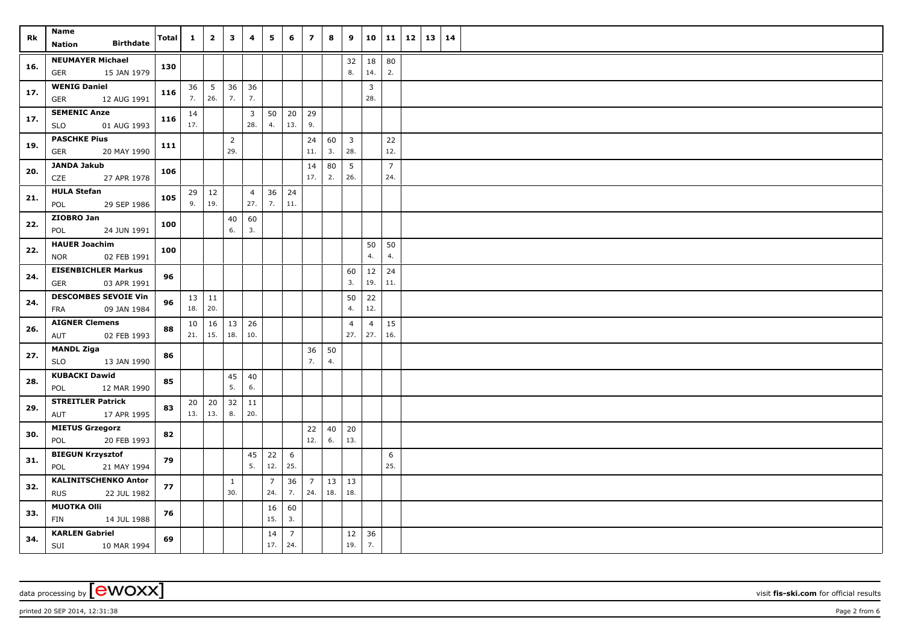| Rk  | Name<br><b>Birthdate</b><br><b>Nation</b> | Total | $\mathbf{1}$    | $\overline{2}$ | 3              | 4              | 5              | 6              | $\overline{z}$ | 8            | 9              | 10             | 11             | 12 | 13 | 14 |  |  |  |  |  |  |  |
|-----|-------------------------------------------|-------|-----------------|----------------|----------------|----------------|----------------|----------------|----------------|--------------|----------------|----------------|----------------|----|----|----|--|--|--|--|--|--|--|
|     | <b>NEUMAYER Michael</b>                   |       |                 |                |                |                |                |                |                |              |                |                |                |    |    |    |  |  |  |  |  |  |  |
| 16. | <b>GER</b><br>15 JAN 1979                 | 130   |                 |                |                |                |                |                |                |              | 32<br>8.       | 18<br>14.      | 80<br>2.       |    |    |    |  |  |  |  |  |  |  |
|     | <b>WENIG Daniel</b>                       |       |                 | $36 \mid 5$    | 36             | 36             |                |                |                |              |                | 3              |                |    |    |    |  |  |  |  |  |  |  |
| 17. | GER<br>12 AUG 1991                        | 116   | 7.              | 26.            | 7.             | 7.             |                |                |                |              |                | 28.            |                |    |    |    |  |  |  |  |  |  |  |
|     | <b>SEMENIC Anze</b>                       |       | 14              |                |                | 3              | 50             | 20             | 29             |              |                |                |                |    |    |    |  |  |  |  |  |  |  |
| 17. | 01 AUG 1993<br>SLO                        | 116   | 17.             |                |                | 28.            | 4.             | 13.            | 9.             |              |                |                |                |    |    |    |  |  |  |  |  |  |  |
| 19. | <b>PASCHKE Pius</b>                       | 111   |                 |                | $\overline{2}$ |                |                |                | 24             | 60           | $\overline{3}$ |                | 22             |    |    |    |  |  |  |  |  |  |  |
|     | 20 MAY 1990<br><b>GER</b>                 |       |                 |                | 29.            |                |                |                | 11.            | 3.           | 28.            |                | 12.            |    |    |    |  |  |  |  |  |  |  |
| 20. | JANDA Jakub                               | 106   |                 |                |                |                |                |                | 14             | 80           | 5              |                | $\overline{7}$ |    |    |    |  |  |  |  |  |  |  |
|     | CZE<br>27 APR 1978                        |       |                 |                |                |                |                |                | 17.            | 2.           | 26.            |                | 24.            |    |    |    |  |  |  |  |  |  |  |
| 21. | <b>HULA Stefan</b>                        | 105   |                 | $29 \mid 12$   |                | $\overline{4}$ | 36             | 24             |                |              |                |                |                |    |    |    |  |  |  |  |  |  |  |
|     | 29 SEP 1986<br>POL                        |       | 9.              | 19.            |                | 27.            | 7.             | 11.            |                |              |                |                |                |    |    |    |  |  |  |  |  |  |  |
| 22. | ZIOBRO Jan<br>24 JUN 1991<br>POL          | 100   |                 |                | 40<br>6.       | 60<br>3.       |                |                |                |              |                |                |                |    |    |    |  |  |  |  |  |  |  |
|     | <b>HAUER Joachim</b>                      |       |                 |                |                |                |                |                |                |              |                |                |                |    |    |    |  |  |  |  |  |  |  |
| 22. | 02 FEB 1991<br><b>NOR</b>                 | 100   |                 |                |                |                |                |                |                |              |                | 50<br>4.       | 50<br>4.       |    |    |    |  |  |  |  |  |  |  |
|     | <b>EISENBICHLER Markus</b>                |       |                 |                |                |                |                |                |                |              | 60             | 12             | 24             |    |    |    |  |  |  |  |  |  |  |
| 24. | <b>GER</b><br>03 APR 1991                 | 96    |                 |                |                |                |                |                |                |              | 3.             | 19.            | 11.            |    |    |    |  |  |  |  |  |  |  |
|     | <b>DESCOMBES SEVOIE Vin</b>               |       | $13 \mid 11$    |                |                |                |                |                |                |              | 50             | 22             |                |    |    |    |  |  |  |  |  |  |  |
| 24. | <b>FRA</b><br>09 JAN 1984                 | 96    | 18.             | 20.            |                |                |                |                |                |              | 4.             | 12.            |                |    |    |    |  |  |  |  |  |  |  |
| 26. | <b>AIGNER Clemens</b>                     | 88    | 10              | 16             | 13             | 26             |                |                |                |              | $\overline{4}$ | $\overline{4}$ | 15             |    |    |    |  |  |  |  |  |  |  |
|     | AUT<br>02 FEB 1993                        |       | 21.             | 15.            | 18.            | 10.            |                |                |                |              | 27.            | 27.            | 16.            |    |    |    |  |  |  |  |  |  |  |
| 27. | <b>MANDL Ziga</b>                         | 86    |                 |                |                |                |                |                | 36             | 50           |                |                |                |    |    |    |  |  |  |  |  |  |  |
|     | <b>SLO</b><br>13 JAN 1990                 |       |                 |                |                |                |                |                | 7.             | 4.           |                |                |                |    |    |    |  |  |  |  |  |  |  |
| 28. | <b>KUBACKI Dawid</b>                      | 85    |                 |                | 45             | 40             |                |                |                |              |                |                |                |    |    |    |  |  |  |  |  |  |  |
|     | POL<br>12 MAR 1990                        |       |                 |                | 5.             | 6.             |                |                |                |              |                |                |                |    |    |    |  |  |  |  |  |  |  |
| 29. | <b>STREITLER Patrick</b><br>17 APR 1995   | 83    | 20<br>13.   13. | 20             | 32<br>8.       | 11<br>20.      |                |                |                |              |                |                |                |    |    |    |  |  |  |  |  |  |  |
|     | AUT<br><b>MIETUS Grzegorz</b>             |       |                 |                |                |                |                |                |                | $40 \mid 20$ |                |                |                |    |    |    |  |  |  |  |  |  |  |
| 30. | 20 FEB 1993<br>POL                        | 82    |                 |                |                |                |                |                | 22<br>12.      | 6.           | 13.            |                |                |    |    |    |  |  |  |  |  |  |  |
|     | <b>BIEGUN Krzysztof</b>                   |       |                 |                |                | 45             | 22             | 6              |                |              |                |                | 6              |    |    |    |  |  |  |  |  |  |  |
| 31. | 21 MAY 1994<br>POL                        | 79    |                 |                |                | 5.             | 12.            | 25.            |                |              |                |                | 25.            |    |    |    |  |  |  |  |  |  |  |
|     | <b>KALINITSCHENKO Anton</b>               |       |                 |                | $\mathbf{1}$   |                | $\overline{7}$ | 36             | $\overline{7}$ | $13 \mid 13$ |                |                |                |    |    |    |  |  |  |  |  |  |  |
| 32. | <b>RUS</b><br>22 JUL 1982                 | 77    |                 |                | 30.            |                | 24.            | 7.             | 24.            | 18.          | 18.            |                |                |    |    |    |  |  |  |  |  |  |  |
| 33. | <b>MUOTKA OIII</b>                        | 76    |                 |                |                |                | 16             | 60             |                |              |                |                |                |    |    |    |  |  |  |  |  |  |  |
|     | FIN<br>14 JUL 1988                        |       |                 |                |                |                | 15.            | 3.             |                |              |                |                |                |    |    |    |  |  |  |  |  |  |  |
| 34. | <b>KARLEN Gabriel</b>                     | 69    |                 |                |                |                | 14             | $\overline{7}$ |                |              | 12             | 36             |                |    |    |    |  |  |  |  |  |  |  |
|     | SUI<br>10 MAR 1994                        |       |                 |                |                |                | 17.            | 24.            |                |              | 19.            | 7.             |                |    |    |    |  |  |  |  |  |  |  |

printed 20 SEP 2014, 12:31:38 **Page 2** from 6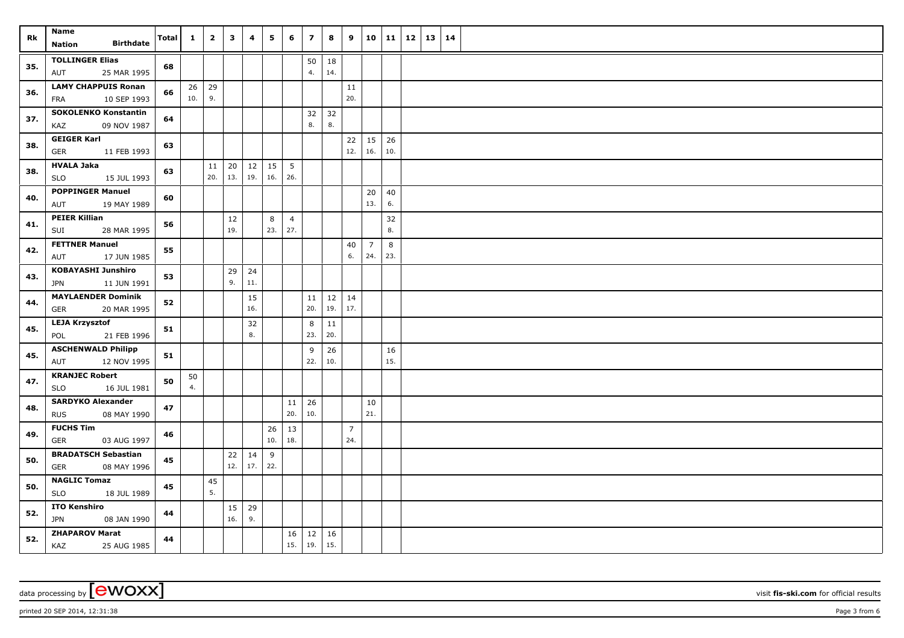| Rk  | Name                                                    | <b>Total</b> | $\mathbf{1}$ | $\overline{2}$     | $\mathbf{3}$ | 4          | 5         | 6                      | $\overline{\phantom{a}}$ | 8         | 9                     | 10                    | 11        | 12 | 13   14 |  |
|-----|---------------------------------------------------------|--------------|--------------|--------------------|--------------|------------|-----------|------------------------|--------------------------|-----------|-----------------------|-----------------------|-----------|----|---------|--|
|     | <b>Birthdate</b><br><b>Nation</b>                       |              |              |                    |              |            |           |                        |                          |           |                       |                       |           |    |         |  |
| 35. | <b>TOLLINGER Elias</b><br>25 MAR 1995<br>AUT            | 68           |              |                    |              |            |           |                        | 50<br>4.                 | 18<br>14. |                       |                       |           |    |         |  |
| 36. | <b>LAMY CHAPPUIS Ronan</b><br>10 SEP 1993<br><b>FRA</b> | 66           | 10.          | $26 \mid 29$<br>9. |              |            |           |                        |                          |           | 11<br>20.             |                       |           |    |         |  |
| 37. | <b>SOKOLENKO Konstantin</b><br>09 NOV 1987<br>KAZ       | 64           |              |                    |              |            |           |                        | 32<br>8.                 | 32<br>8.  |                       |                       |           |    |         |  |
| 38. | <b>GEIGER Karl</b><br><b>GER</b><br>11 FEB 1993         | 63           |              |                    |              |            |           |                        |                          |           | 22<br>12.             | 15<br>16.             | 26<br>10. |    |         |  |
| 38. | <b>HVALA Jaka</b><br>15 JUL 1993<br><b>SLO</b>          | 63           |              | 11<br>20.          | 20<br>13.    | 12<br>19.  | 15<br>16. | $5\overline{5}$<br>26. |                          |           |                       |                       |           |    |         |  |
| 40. | <b>POPPINGER Manuel</b><br>19 MAY 1989<br>AUT           | 60           |              |                    |              |            |           |                        |                          |           |                       | 20<br>13.             | 40<br>6.  |    |         |  |
| 41. | <b>PEIER Killian</b><br>28 MAR 1995<br>SUI              | 56           |              |                    | 12<br>19.    |            | 8<br>23.  | $\overline{4}$<br>27.  |                          |           |                       |                       | 32<br>8.  |    |         |  |
| 42. | <b>FETTNER Manuel</b><br>AUT<br>17 JUN 1985             | 55           |              |                    |              |            |           |                        |                          |           | 40<br>6.              | $\overline{7}$<br>24. | 8<br>23.  |    |         |  |
| 43. | <b>KOBAYASHI Junshiro</b><br><b>JPN</b><br>11 JUN 1991  | 53           |              |                    | 29<br>9.     | 24<br>11.  |           |                        |                          |           |                       |                       |           |    |         |  |
| 44. | <b>MAYLAENDER Dominik</b><br>20 MAR 1995<br>GER         | 52           |              |                    |              | 15<br>16.  |           |                        | 11<br>20.                | 12<br>19. | 14<br>17.             |                       |           |    |         |  |
| 45. | <b>LEJA Krzysztof</b><br>21 FEB 1996<br>POL             | 51           |              |                    |              | 32<br>8.   |           |                        | 8<br>23.                 | 11<br>20. |                       |                       |           |    |         |  |
| 45. | <b>ASCHENWALD Philipp</b><br>12 NOV 1995<br>AUT         | 51           |              |                    |              |            |           |                        | 9<br>22.                 | 26<br>10. |                       |                       | 16<br>15. |    |         |  |
| 47. | <b>KRANJEC Robert</b><br>16 JUL 1981<br><b>SLO</b>      | 50           | 50<br>4.     |                    |              |            |           |                        |                          |           |                       |                       |           |    |         |  |
| 48. | <b>SARDYKO Alexander</b><br>08 MAY 1990<br><b>RUS</b>   | 47           |              |                    |              |            |           | 11<br>20.              | 26<br>10.                |           |                       | 10<br>21.             |           |    |         |  |
| 49. | <b>FUCHS Tim</b><br><b>GER</b><br>03 AUG 1997           | 46           |              |                    |              |            | 26<br>10. | 13<br>18.              |                          |           | $\overline{7}$<br>24. |                       |           |    |         |  |
| 50. | <b>BRADATSCH Sebastian</b><br><b>GER</b><br>08 MAY 1996 | 45           |              |                    | 22<br>12.    | 14<br> 17. | 9<br>22.  |                        |                          |           |                       |                       |           |    |         |  |
| 50. | <b>NAGLIC Tomaz</b><br><b>SLO</b><br>18 JUL 1989        | 45           |              | 45<br>5.           |              |            |           |                        |                          |           |                       |                       |           |    |         |  |
| 52. | <b>ITO Kenshiro</b><br>JPN<br>08 JAN 1990               | 44           |              |                    | 15<br>16.    | 29<br>9.   |           |                        |                          |           |                       |                       |           |    |         |  |
| 52. | <b>ZHAPAROV Marat</b><br>KAZ<br>25 AUG 1985             | 44           |              |                    |              |            |           | 16<br>15.              | 12<br>19.                | 16<br>15. |                       |                       |           |    |         |  |

printed 20 SEP 2014, 12:31:38 **Page 3** from 6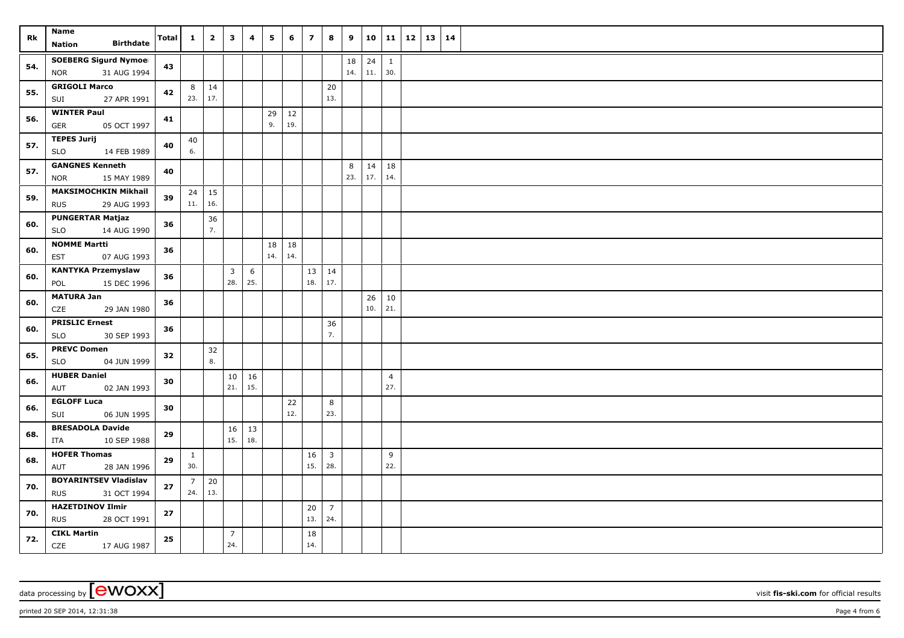| Rk  | <b>Name</b><br><b>Birthdate</b><br><b>Nation</b>          | <b>Total</b> | $\mathbf{1}$          | $\overline{\mathbf{2}}$ | $\mathbf{3}$          | 4         | 5         | 6         | $\overline{\phantom{a}}$ | 8                              | 9         | 10        |                       | $11 \mid 12$ | 13   14 |  |
|-----|-----------------------------------------------------------|--------------|-----------------------|-------------------------|-----------------------|-----------|-----------|-----------|--------------------------|--------------------------------|-----------|-----------|-----------------------|--------------|---------|--|
| 54. | <b>SOEBERG Sigurd Nymoel</b><br><b>NOR</b><br>31 AUG 1994 | 43           |                       |                         |                       |           |           |           |                          |                                | 18<br>14. | 24<br>11. | $\mathbf{1}$<br>30.   |              |         |  |
| 55. | <b>GRIGOLI Marco</b><br>27 APR 1991<br>SUI                | 42           | 8 <sup>1</sup><br>23. | 14<br>17.               |                       |           |           |           |                          | 20<br>13.                      |           |           |                       |              |         |  |
| 56. | <b>WINTER Paul</b><br>GER<br>05 OCT 1997                  | 41           |                       |                         |                       |           | 29<br>9.  | 12<br>19. |                          |                                |           |           |                       |              |         |  |
| 57. | <b>TEPES Jurij</b><br><b>SLO</b><br>14 FEB 1989           | 40           | 40<br>6.              |                         |                       |           |           |           |                          |                                |           |           |                       |              |         |  |
| 57. | <b>GANGNES Kenneth</b><br>15 MAY 1989<br><b>NOR</b>       | 40           |                       |                         |                       |           |           |           |                          |                                | 8<br>23.  | 14<br>17. | 18<br>14.             |              |         |  |
| 59. | <b>MAKSIMOCHKIN Mikhail</b><br>29 AUG 1993<br><b>RUS</b>  | 39           | $24 \mid 15$<br>11.   | 16.                     |                       |           |           |           |                          |                                |           |           |                       |              |         |  |
| 60. | <b>PUNGERTAR Matjaz</b><br>14 AUG 1990<br><b>SLO</b>      | 36           |                       | 36<br>7.                |                       |           |           |           |                          |                                |           |           |                       |              |         |  |
| 60. | <b>NOMME Martti</b><br>EST<br>07 AUG 1993                 | 36           |                       |                         |                       |           | 18<br>14. | 18<br>14. |                          |                                |           |           |                       |              |         |  |
| 60. | <b>KANTYKA Przemyslaw</b><br>15 DEC 1996<br>POL           | 36           |                       |                         | $\overline{3}$<br>28. | 6<br>25.  |           |           | 13<br>18.                | 14<br> 17.                     |           |           |                       |              |         |  |
| 60. | <b>MATURA Jan</b><br>CZE<br>29 JAN 1980                   | 36           |                       |                         |                       |           |           |           |                          |                                |           | 26<br>10. | 10<br>21.             |              |         |  |
| 60. | <b>PRISLIC Ernest</b><br><b>SLO</b><br>30 SEP 1993        | 36           |                       |                         |                       |           |           |           |                          | 36<br>7.                       |           |           |                       |              |         |  |
| 65. | <b>PREVC Domen</b><br>04 JUN 1999<br><b>SLO</b>           | 32           |                       | 32<br>8.                |                       |           |           |           |                          |                                |           |           |                       |              |         |  |
| 66. | <b>HUBER Daniel</b><br>02 JAN 1993<br>AUT                 | 30           |                       |                         | 10<br>21.             | 16<br>15. |           |           |                          |                                |           |           | $\overline{4}$<br>27. |              |         |  |
| 66. | <b>EGLOFF Luca</b><br>SUI<br>06 JUN 1995                  | 30           |                       |                         |                       |           |           | 22<br>12. |                          | 8<br>23.                       |           |           |                       |              |         |  |
| 68. | <b>BRESADOLA Davide</b><br>10 SEP 1988<br>ITA             | 29           |                       |                         | 16<br>15.             | 13<br>18. |           |           |                          |                                |           |           |                       |              |         |  |
| 68. | <b>HOFER Thomas</b><br>AUT<br>28 JAN 1996                 | 29           | $\mathbf{1}$<br>30.   |                         |                       |           |           |           | 16<br>15.                | $\overline{\mathbf{3}}$<br>28. |           |           | 9<br>22.              |              |         |  |
| 70. | <b>BOYARINTSEV Vladislav</b><br>31 OCT 1994<br><b>RUS</b> | 27           | 7 <sup>1</sup><br>24. | 20<br>13.               |                       |           |           |           |                          |                                |           |           |                       |              |         |  |
| 70. | <b>HAZETDINOV Ilmir</b><br><b>RUS</b><br>28 OCT 1991      | 27           |                       |                         |                       |           |           |           | 20<br>13.                | $\overline{7}$<br>24.          |           |           |                       |              |         |  |
| 72. | <b>CIKL Martin</b><br>CZE<br>17 AUG 1987                  | 25           |                       |                         | $\overline{7}$<br>24. |           |           |           | 18<br>14.                |                                |           |           |                       |              |         |  |

printed 20 SEP 2014, 12:31:38 Page 4 from 6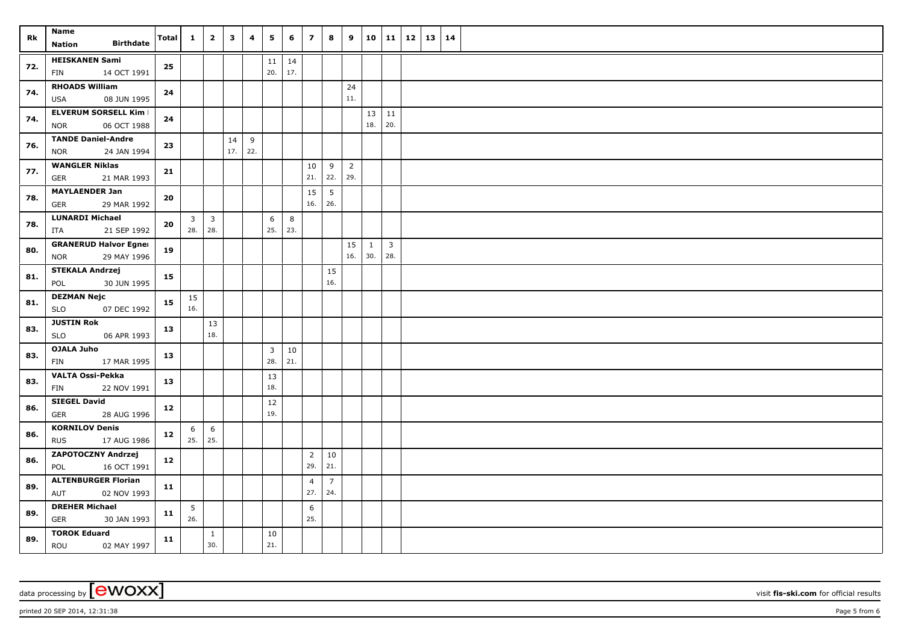| Rk  | Name                                                   | Total | $\mathbf{1}$   | $\overline{2}$  | $\overline{\mathbf{3}}$ | 4        | 5                              | 6             | $\overline{z}$ | 8              | 9              | 10           |                | 11   12   13 | 14 |  |
|-----|--------------------------------------------------------|-------|----------------|-----------------|-------------------------|----------|--------------------------------|---------------|----------------|----------------|----------------|--------------|----------------|--------------|----|--|
|     | <b>Birthdate</b><br>Nation                             |       |                |                 |                         |          |                                |               |                |                |                |              |                |              |    |  |
| 72. | <b>HEISKANEN Sami</b>                                  | 25    |                |                 |                         |          | 11                             | 14            |                |                |                |              |                |              |    |  |
|     | 14 OCT 1991<br>FIN                                     |       |                |                 |                         |          | 20.                            | 17.           |                |                |                |              |                |              |    |  |
| 74. | <b>RHOADS William</b>                                  | 24    |                |                 |                         |          |                                |               |                |                | 24             |              |                |              |    |  |
|     | 08 JUN 1995<br>USA                                     |       |                |                 |                         |          |                                |               |                |                | 11.            |              |                |              |    |  |
| 74. | <b>ELVERUM SORSELL Kim I</b>                           | 24    |                |                 |                         |          |                                |               |                |                |                | $13 \mid 11$ |                |              |    |  |
|     | 06 OCT 1988<br><b>NOR</b>                              |       |                |                 |                         |          |                                |               |                |                |                | 18.          | 20.            |              |    |  |
| 76. | <b>TANDE Daniel-Andre</b><br><b>NOR</b><br>24 JAN 1994 | 23    |                |                 | 14<br>17.               | 9<br>22. |                                |               |                |                |                |              |                |              |    |  |
|     |                                                        |       |                |                 |                         |          |                                |               |                |                |                |              |                |              |    |  |
| 77. | <b>WANGLER Niklas</b><br>21 MAR 1993<br><b>GER</b>     | 21    |                |                 |                         |          |                                |               | 10<br>21.      | 9<br>$22.$ 29. | $\overline{2}$ |              |                |              |    |  |
|     | <b>MAYLAENDER Jan</b>                                  |       |                |                 |                         |          |                                |               | 15             | 5              |                |              |                |              |    |  |
| 78. | GER<br>29 MAR 1992                                     | 20    |                |                 |                         |          |                                |               | 16.            | 26.            |                |              |                |              |    |  |
|     | <b>LUNARDI Michael</b>                                 |       | $\overline{3}$ | $\overline{3}$  |                         |          | 6                              | 8             |                |                |                |              |                |              |    |  |
| 78. | 21 SEP 1992<br>ITA                                     | 20    | 28.            | 28.             |                         |          | 25.                            | 23.           |                |                |                |              |                |              |    |  |
|     | <b>GRANERUD Halvor Egner</b>                           |       |                |                 |                         |          |                                |               |                |                | 15             | $\mathbf{1}$ | $\overline{3}$ |              |    |  |
| 80. | 29 MAY 1996<br><b>NOR</b>                              | 19    |                |                 |                         |          |                                |               |                |                | 16.            | 30.          | 28.            |              |    |  |
| 81. | <b>STEKALA Andrzej</b>                                 | 15    |                |                 |                         |          |                                |               |                | 15             |                |              |                |              |    |  |
|     | 30 JUN 1995<br>POL                                     |       |                |                 |                         |          |                                |               |                | 16.            |                |              |                |              |    |  |
| 81. | <b>DEZMAN Nejc</b>                                     | 15    | 15             |                 |                         |          |                                |               |                |                |                |              |                |              |    |  |
|     | <b>SLO</b><br>07 DEC 1992                              |       | 16.            |                 |                         |          |                                |               |                |                |                |              |                |              |    |  |
| 83. | <b>JUSTIN Rok</b>                                      | 13    |                | 13              |                         |          |                                |               |                |                |                |              |                |              |    |  |
|     | <b>SLO</b><br>06 APR 1993                              |       |                | 18.             |                         |          |                                |               |                |                |                |              |                |              |    |  |
| 83. | <b>OJALA Juho</b>                                      | 13    |                |                 |                         |          | $\overline{\mathbf{3}}$<br>28. | $10\,$<br>21. |                |                |                |              |                |              |    |  |
|     | FIN<br>17 MAR 1995                                     |       |                |                 |                         |          |                                |               |                |                |                |              |                |              |    |  |
| 83. | VALTA Ossi-Pekka<br>22 NOV 1991<br>FIN                 | 13    |                |                 |                         |          | 13<br>18.                      |               |                |                |                |              |                |              |    |  |
|     | <b>SIEGEL David</b>                                    |       |                |                 |                         |          | 12                             |               |                |                |                |              |                |              |    |  |
| 86. | 28 AUG 1996<br><b>GER</b>                              | 12    |                |                 |                         |          | 19.                            |               |                |                |                |              |                |              |    |  |
|     | <b>KORNILOV Denis</b>                                  |       | 6              | $6\phantom{1}6$ |                         |          |                                |               |                |                |                |              |                |              |    |  |
| 86. | <b>RUS</b><br>17 AUG 1986                              | 12    | $25.$ 25.      |                 |                         |          |                                |               |                |                |                |              |                |              |    |  |
|     | ZAPOTOCZNY Andrzej                                     |       |                |                 |                         |          |                                |               | $\overline{2}$ | 10             |                |              |                |              |    |  |
| 86. | POL<br>16 OCT 1991                                     | 12    |                |                 |                         |          |                                |               | 29.            | 21.            |                |              |                |              |    |  |
| 89. | <b>ALTENBURGER Florian</b>                             | $11$  |                |                 |                         |          |                                |               | $\overline{4}$ | $\overline{7}$ |                |              |                |              |    |  |
|     | 02 NOV 1993<br>AUT                                     |       |                |                 |                         |          |                                |               | 27.            | 24.            |                |              |                |              |    |  |
| 89. | <b>DREHER Michael</b>                                  | 11    | 5              |                 |                         |          |                                |               | 6              |                |                |              |                |              |    |  |
|     | GER<br>30 JAN 1993                                     |       | 26.            |                 |                         |          |                                |               | 25.            |                |                |              |                |              |    |  |
| 89. | <b>TOROK Eduard</b>                                    | 11    |                | $\mathbf{1}$    |                         |          | 10                             |               |                |                |                |              |                |              |    |  |
|     | ROU<br>02 MAY 1997                                     |       |                | 30.             |                         |          | 21.                            |               |                |                |                |              |                |              |    |  |

printed 20 SEP 2014, 12:31:38 Page 5 from 6